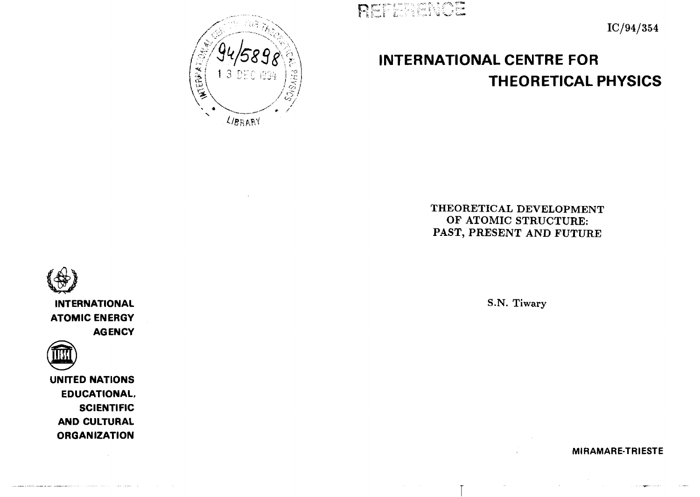



IC/94/354

# **INTERNATIONAL CENTRE FOR THEORETICAL PHYSICS**

THEORETICAL DEVELOPMENT OF ATOMIC STRUCTURE: PAST, PRESENT AND FUTURE

S.N. Tiwary

**MIRAMARE-TRIESTE**

**INTERNATIONAL ATOMIC ENERGY AGENCY**



**UNITED NATIONS EDUCATIONAL, SCIENTIFIC AND CULTURAL ORGANIZATION**

المستحدث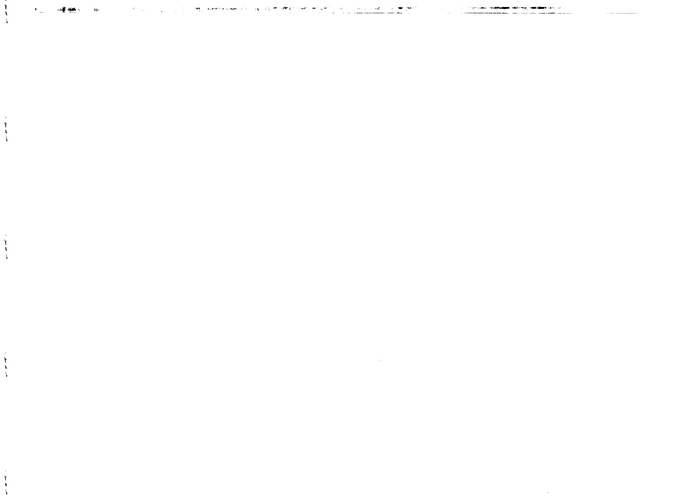**-if-#**: 形 a sa mata katika katika sa katika katika mata sa katika sa katika sa katika katika sa katika sa mata sa kata s<br>Ta matama mata katika katika katika katika katika sa katika sa katika katika katika katika katika katika katik  $\left\langle \cdot \right\rangle_{\perp}$ 

 $\mathcal{L}^{\text{max}}_{\text{max}}$  and  $\mathcal{L}^{\text{max}}_{\text{max}}$ 

 $\begin{array}{c} \mathbf{Y} \\ \mathbf{Y} \\ \mathbf{Y} \end{array}$ 

 $\mathfrak{h}$  $\mathcal{A}$  $\mathcal{A}_\mathbf{r}$ 

 $\sim$  $\mathcal{A}$  $\frac{1}{4}$ 

Ì  $\mathbf{L}$ 

 $\pmb{\mathfrak{p}}$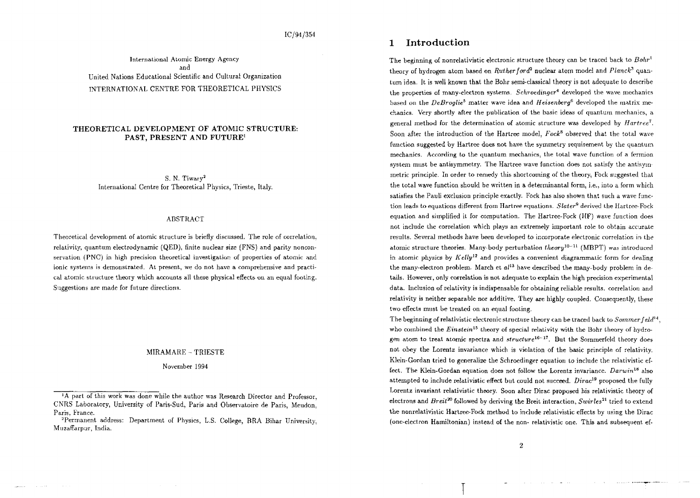International Atomic Energy Agency and United Nations Educational Scientific and Cultural Organization INTERNATIONAL CENTRE FOR THEORETICAL PHYSICS

#### **THEORETICAL DEVELOPMENT OF ATOMIC STRUCTURE: PAST, PRESENT AND FUTURE<sup>1</sup>**

S. N. Tiwary<sup>2</sup> International Centre for Theoretical Physics, Trieste, Italy.

#### ABSTRACT

Theoretical development of atomic structure is briefly discussed. The role of correlation, relativity, quantum electrodynamic (QED), finite nuclear size (FNS) and parity nonconservation (PNC) in high precision theoretical investigation of properties of atomic and ionic systems is demonstrated. At present, we do not have a comprehensive and practical atomic structure theory which accounts all these physical effects on an equal footing. Suggestions are made for future directions.

#### MIRAMARE - TRIESTE

November 1994

# 1 Introduction

The beginning of nonrelativistic electronic structure theory can be traced back to *Bohr<sup>1</sup>* theory of hydrogen atom based on  $Rutherford^2$  nuclear atom model and  $Planck^3$  quantum idea. It is well known that the Bohr semi-classical theory is not adequate to describe the properties of many-electron systems. *Schroedinger*<sup>4</sup> developed the wave mechanics based on the *DeBroglie\** matter wave idea and *Heisenberg<sup>e</sup>* developed the matrix mechanics. Very shortly after the publication of the basic ideas of quantum mechanics, a general method for the determination of atomic structure was developed by *Hartree<sup>7</sup> .* s<br>Soon after the introduction of the Hartree model, *Fock<sup>8</sup>* observed that the total wave function suggested by Hartree does not have the symmetry requirement by the quantum mechanics. According to the quantum mechanics, the total wave function of a fermion system must be antisymmetry. The Hartree wave function does not satisfy the antisymmetric principle. In order to remedy this shortcoming of the theory, Fock suggested that the total wave function should be written in a determinantal form, i.e., into a form which satisfies the Pauli exclusion principle exactly. Fock has also shown that such a wave function leads to equations different from Hartree equations. *Slater<sup>9</sup>* derived the Hartree-Fock equation and simplified it for computation. The Hartree-Fock (HF) wave function does not include the correlation which plays an extremely important role to obtain accurate results. Several methods have been developed to incorporate electronic correlation in the *u* atomic structure theories. Many-body we interpretate theories correlation in the structure theories. The structure theories was interested in the structure of the structure of the structure of the structure of the structur in atomic physics by *Kelly<sup>12</sup>* and provides a convenient diagrammatic form for dealing the many-electron problem. March et *al<sup>13</sup>* have described the many-body problem in details. However, only correlation is not adequate to explain the high precision experimental data. Inclusion of relativity is indispensable for obtaining reliable results, correlation and relativity is neither separable nor additive. They are highly coupled. Consequently, these two effects must be treated on an equal footing.

The beginning of relativistic electronic structure theory can be traced back to  $Sommerfeld^{14}$ , who combined the  $Einstein^{15}$  theory of special relativity with the Bohr theory of hydrogen atom to treat atomic spectra and *structure<sup>16</sup>^ 17 .* But the Sommerfeld theory does not obey the Lorentz invariance which is violation of the basic principle of relativity. Klein-Gordan tried to generalize the Schroedinger equation to include the relativistic effect. The Klein-Gordan equation does not follow the Lorentz invariance. *Darwin™* also attempted to include relativistic effect but could not succeed. *Dirac<sup>19</sup>* proposed the fully Lorentz invariant relativistic theory. Soon after Dirac proposed his relativistic theory of electrons and *Breit<sup>20</sup>* followed by deriving the Breit interaction, *Swirles<sup>21</sup>* tried to extend the nonrelativistic Hartree-Fock method to include relativistic effects by using the Dirac (one-electron Hamiltonian) instead of the non- relativistic one. This and subsequent ef-

<sup>&</sup>lt;sup>1</sup>A part of this work was done while the author was Research Director and Professor. CNRS Laboratory, University of Paris-Sud, Paris and Observatoire de Paris, Meudon, Paris, France.

Permanent address: Department of Physics, L.S. College, BRA Bihar University, Muzaffarpur, India.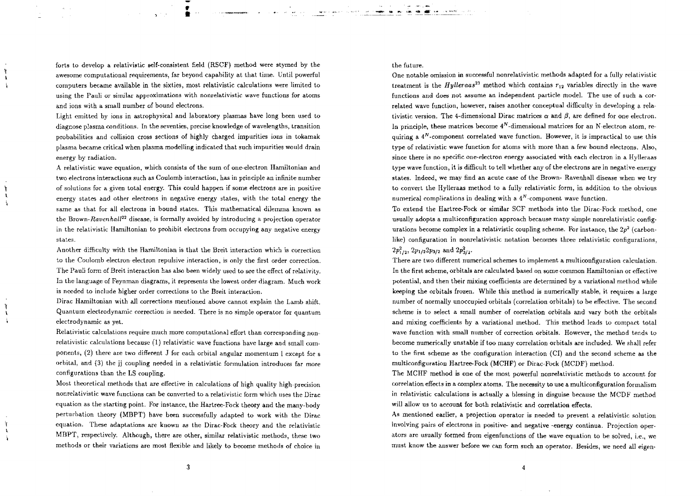forts to develop a relativistic self-consistent field (RSCF) method were stymed by the awesome computational requirements, far beyond capability at that time. Until powerful computers became available in the sixties, most relativistic calculations were limited to using the Pauli or similar approximations with nonrelativistic wave functions for atoms and ions with a small number of bound electrons.

**t**

Light emitted by ions in astrophysical and laboratory plasmas have long been used to diagnose plasma conditions. In the seventies, precise knowledge of wavelengths, transition probabilities and collision cross sections of highly charged impurities ions in tokamak plasma became critical when plasma modelling indicated that such impurities would drain energy by radiation.

A relativistic wave equation, which consists of the sum of one-electron Hamiltonian and two electrons interactions such as Coulomb interaction, has in principle an infinite number of solutions for a given total energy. This could happen if some electrons are in positive energy states and other electrons in negative energy states, with the total energy the same as that for all electrons in bound states. This mathematical dilemma known as the Brown-*Ravenhall<sup>22</sup>* disease, is formally avoided by introducing a projection operator in the relalivistic Hamiltonian to prohibit electrons from occupying any negative energy states.

Another difficulty with the Hamiltonian is that the Breit interaction which is correction to the Coulomb electron-electron repulsive interaction, is only the first order correction. The Pauli form of Breit interaction has also been widely used to see the effect of relativity. In the language of Feynman diagrams, it represents the lowest order diagram. Much work is needed to include higher order corrections to the Breit interaction.

Dirac Hamiltonian with all corrections mentioned above cannot explain the Lamb shift. Quantum electrodynamic correction is needed. There is no simple operator for quantum electrodynamic as yet.

 $\Lambda$ 

Relativistic calculations require much more computational effort than corresponding nonrelativistic calculations because (1) relativistic wave functions have large and small components, (2) there are two different J for each orbital angular momentum 1 except for s orbital, and (3) the jj coupling needed in a relativistic formulation introduces far more configurations than the LS coupling.

Most theoretical methods that are effective in calculations of high quality high-precision nonreiativistic wave functions can be converted to a relativistic form which uses the Dirac equation as the starting point. For instance, the Hartree-Fock theory and the many-body perturbation theory (MBPT) have been successfully adapted to work with the Dirac equation. These adaptations are known as the Dirac-Fock theory and the relativistic MBPT, respectively. Although, there are other, similar relattvistic methods, these two methods or their variations are most flexible and likely to become methods of choice in

the future.

One notable omission in successful nonrelativistic methods adapted for a fully relativistic treatment is the *Hylleraas*<sup>23</sup> method which contains  $r_{12}$  variables directly in the wave functions and does not assume an independent particle model. The use of such a correlated wave function, however, raises another conceptual difficulty in developing a relativistic version. The 4-dimensional Dirac matrices  $\alpha$  and  $\beta$ , are defined for one electron. In principle, these matrices become  $4^N$ -dimensional matrices for an N-electron atom, requiring a  $4^N$ -component correlated wave function. However, it is impractical to use this type of relativistic wave function for atoms with more than a few bound electrons. Also, since there is no specific one-electron energy associated with each electron in a Hylleraas type wave function, it is difficult to tell whether any of the electrons are in negative-energy states. Indeed, we may find an acute case of the Brown- Ravenhall disease when we try to convert the Hylleraas method to a fully relativistic form, in addition to the obvious numerical complications in dealing with a  $4^N$ -component wave function.

To extend the Hartree-Fock or similar SCF methods into the Dirac-Fock method, one usually adopts a multiconfiguration approach because many simple nonrelativistic configurations become complex in a relativistic coupling scheme. For instance, the  $2p^2$  (carbonlike) configuration in nonrelativistic notation becomes three relativistic configurations,  $2p_{1/2}^2$ ,  $2p_{1/2}2p_{3/2}$  and  $2p_{3/2}^2$ .

There are two different numerical schemes to implement a multiconfiguration calculation. In the first scheme, orbitals are calculated based on some common Hamiltonian or effective potential, and then their mixing coefficients are determined by a variational method while keeping the orbitals frozen. While this method is numerically stable, it requires a large number of normally unoccupied orbitals (correlation orbitals) to be effective. The second scheme is to select a small number of correlation orbitals and vary both the orbitals and mixing coefficients by a variational method. This method leads to compact total wave function with small number of correction orbitals. However, the method tends to become numerically unstable if too many correjation orbitals are included. We shall refer to the first scheme as the configuration interaction (CI) and the second scheme as the multiconfiguration Hartree-Fock (MCHF) or Dirac-Fock (MCDF) method.

The MCHF method is one of the most powerful nonrelativistic methods to account for correlation effects in a complex atoms. The necessity to use a multiconfiguration formalism in relativistic calculations is actually a blessing in disguise because the MCDF method will allow us to account for both relativistic and correlation effects.

As mentioned earlier, a projection operator is needed to prevent a relativistic solution involving pairs of electrons in positive- and negative -energy continua. Projection operators are usually formed from eigenfunctions of the wave equation to be solved, i.e., we must know the answer before we can form such an operator. Besides, we need all eigen-

 $\overline{\mathbf{3}}$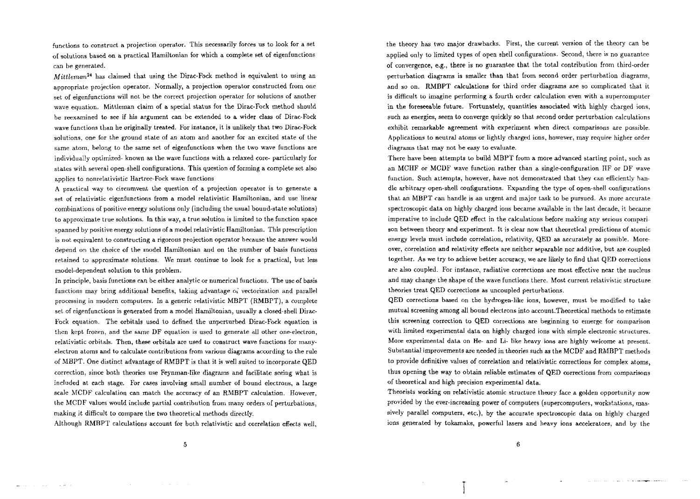functions to construct a projection operator. This necessarily forces us to look for a set of solutions based on a practical Hamiltonian for which a complete set of eigenfunctions can be generated.

*Mitthman'<sup>14</sup>* has claimed that using the Dirac-Fock method is equivalent to using an appropriate projection operator. Normally, a projection operator constructed from one set of eigenfunctions will not be the correct projection operator for solutions of another wave equation. Mittleman claim of a special status for the Dirac-Fock method should be reexamined to see if his argument can be extended to a wider class of Dirac-Fock wave functions than he originally treated. For instance, it is unlikely that two Dirac-Fock solutions, one for the ground state of an atom and another for an excited state of the same atom, belong to the same set of eigenfunctions when the two wave functions are individually optimized- known as the wave functions with a relaxed core- particularly for states with several open-shell configurations. This question of forming a complete set also applies to nonrelativistic Hartree-Fock wave functions

A practical way to circumvent the question of a projection operator is to generate a set of relativistic eigenfunctions from a model relativistic Hamiltonian, and use linear combinations of positive energy solutions only (including the usual bound-state solutions) to approximate true solutions. In this way, a true solution is limited to the function space spanned by positive energy solutions of a model relativistic Hamiltonian. This prescription is not equivalent to constructing a rigorous projection operator because the answer would depend on the choice of the model Hamiltonian and on the number of basis functions retained to approximate solutions. We must continue to look for a practical, but less model-dependent solution to this problem.

In principle, basis functions can be either analytic or numerical functions. The use of basis functions may bring additional benefits, taking advantage  $o<sub>i</sub>$  vectorization and parallel processing in modern computers. In a generic relativistic MBPT (RMBPT), a complete set of eigenfunctions is generated from a model Hamiltonian, usually a closed-shell Dirac-Fock equation. The orbitals used to defined the unperturbed Dirac-Fock equation is then kept frozen, and the same DF equation is used to generate all other one-electron, relativistic orbitals. Then, these orbitals are used to construct wave functions for manyelectron atoms and to calculate contributions from various diagrams according to the rule of MBPT. One distinct advantage of RMBPT is that it is well suited to incorporate QED correction, since both theories use Feynman-like diagrams and facilitate seeing what is included at each stage. For eases involving small number of bound electrons, a large scale MCDF calculation can match the accuracy of an RMBPT calculation. However, the MCDF values would include partial contribution from many orders of perturbations, making it difficult to compare the two theoretical methods directly.

Although RMBPT calculations account for both relativistic and correlation effects well,

the theory has two major drawbacks. First, the current version of the theory can be applied only to limited types of open shell configurations. Second, there is no guarantee of convergence, e.g., there is no guarantee that the total contribution from third-order perturbation diagrams is smaller than that from second order perturbation diagrams, and so on. RMBPT calculations for third order diagrams are so complicated that it is difficult to imagine performing a fourth order calculation even with a supercomputer in the foreseeable future. Fortunately, quantities associated with highly charged ions, such as energies, seem to converge quickly so that second order perturbation calculations exhibit remarkable agreement with experiment when direct comparisons are possible. Applications to neutral atoms or lightly charged ions, however, may require higher order diagrams that may not be easy to evaluate.

There have been attempts to build MBPT from a more advanced starting point, such as an MCHF or MCDF wave function rather than a single-configuration HF or DF wave function. Such attempts, however, have not demonstrated that they can efficiently handle arbitrary open-shell configurations. Expanding the type of open-shell configurations that an MBPT can handle is an urgent and major task to be pursued. As more accurate spectroscopic data on highly charged ions became available in the last decade, it became imperative to include QED effect in the calculations before making any serious comparison between theory and experiment. It is clear now that theoretical predictions of atomic energy levels must include correlation, relativity, QED as accurately as possible. Moreover, correlation and relativity effects are neither separable nor additive, but are coupled together. As we try to achieve better accuracy, we are likely to find that QED corrections are also coupled. For instance, radiative corrections are most effective near the nucleus and may change the shape of the wave functions there. Most current relativistic structure theories treat QED corrections as uncoupled perturbations.

QED corrections based on the hydrogen-like ions, however, must be modified to take mutual screening among all bound electrons into account.Theoretical methods to estimate this screening correction to QED corrections are beginning to emerge for comparison with limited experimental data on highly charged ions with simple electronic structures. More experimental data on He- and Li- like heavy ions are highly welcome at present. Substantial improvements are needed in theories such as the MCDF and RMBPT methods to provide definitive values of correlation and relativistic corrections for complex atoms, thus opening the way to obtain reliable estimates of QED corrections from comparisons of theoretical and high precision experimental data.

Theorists working on relativistic atomic structure theory face a golden opportunity now provided by the ever-increasing power of computers (supercomputers, workstations, massively parallel computers, etc.), by the accurate spectroscopic data on highly charged ions generated by tokamaks, powerful lasers and heavy ions accelerators, and by the

 $\overline{5}$ 

contract and contract

and the same of the same of

 $6\overline{6}$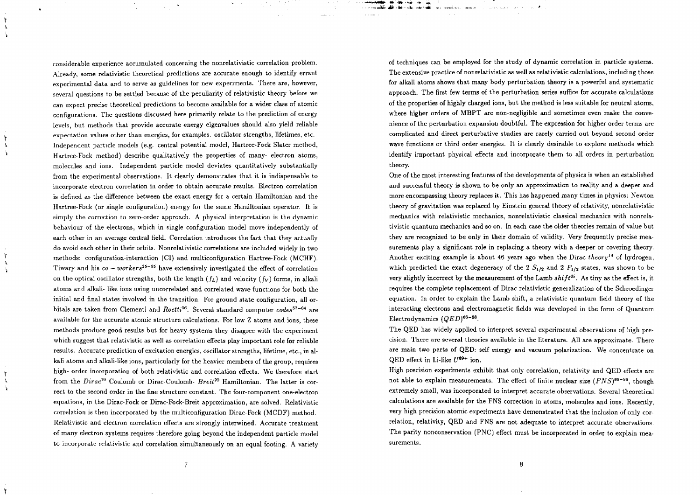considerable experience accumulated concerning the nonrelativistic correlation problem. Already, some relativistic theoretical predictions are accurate enough to identify errant experimental data and to serve as guidelines for new experiments. There are, however, several questions to be settled because of the peculiarity of relativistic theory before we can expect precise theoretical predictions to become available for a wider class of atomic configurations. The questions discussed here primarily relate to the prediction of energy levels, but methods that provide accurate energy eigenvalues should also yield reliable expectation values other than energies, for examples, oscillator strengths, lifetimes, etc. Independent particle models (e.g. central potential model, Hartree-Fock Slater method, Hartree-Fock method) describe qualitatively the properties of many- electron atoms, molecules and ions. Independent particle model deviates quantitatively substantially from the experimental observations. It clearly demonstrates that it is indispensable to incorporate electron correlation in order to obtain accurate results. Electron correlation is defined as the difference between the exact energy for a certain Hamiltonian and the Hartree-Fock (or single configuration) energy for the same Hamittonian operator. It is simply the correction to zero-order approach. A physical interpretation is the dynamic behaviour of the electrons, which in single configuration model move independently of each other in an average central field. Correlation introduces the fact that they actually do avoid each other in their orbits. Nonrelativistic correlations are included widely in two methods: configuration-interaction (CI) and multiconfiguration Hartree-Fock (MCHF). Tiwary and his  $\infty$  – workers<sup>25–55</sup> have extensively investigated the effect of correlation on the optical oscillator strengths, both the length *{}£)* and velocity *(fv)* forms, in alkali atoms and alkali- like ions using uncorrelated and correlated wave functions for both the initial and final states involved in the transition. For ground state configuration, all orbitals are taken from Clementi and *Roetti<sup>56</sup>*. Several standard computer codes<sup>57–64</sup> are available for the accurate atomic structure calculations. For low Z atoms and ions, these methods produce good results but for heavy systems they disagree with the experiment which suggest that relativistic as well as correlation effects play important role for reliable results. Accurate prediction of excitation energies, oscillator strengths, lifetime, etc., in alkali atoms and alkali-like ions, particularly for the heavier members of the group, requires high- order incorporation of both relativistic and correlation effects. We therefore start from the *Dirac<sup>19</sup>* Coulomb or Dirac-Coulomb- *Breit<sup>20</sup>* Hamiltonian. The latter is correct to the second order in the fine structure constant. The four-component one-electron equations, in the Dirac-Fock or Dirac-Fock-Breit approximation, are solved. Relativistic correlation is then incorporated by the multiconfiguration Dirac-Fock (MCDF) method. Relativistic and electron correlation effects are strongly interwined. Accurate treatment of many electron systems requires therefore going beyond the independent particle model to incorporate relativistic and correlation simultaneously on an equal footing. A variety

 $\mathcal{L}_{\text{max}}$ 

 $\mathbf{A}$ 

 $\mathbf{t}$ 

of techniques can be employed for the study of dynamic correlation in particle systems. The extensive practice of nonrelativistic as well as relativistic calculations, including those for alkali atoms shows that many body perturbation theory is a powerful and systematic approach. The first few terms of the perturbation series suffice for accurate calculations of the properties of highly charged ions, but the method is less suitable for neutral atoms, where higher orders of MBPT are non-negligible and sometimes even make the convenience of the perturbation expansion doubtful. The expression for higher order terms are complicated and direct perturbative studies are rarely carried out beyond second order wave functions or third order energies. It is clearly desirable to explore methods which identify important physical effects and incorporate them to all orders in perturbation theory.

.-,-»..#; *-u*

One of the most interesting features of the developments of physics is when an established and successful theory is shown to be only an approximation to reality and a deeper and more encompassing theory replaces it. This has happened many times in physics; Newton theory of gravitation was replaced by Einstein general theory of relativity, nonrelativistic mechanics with relativistic mechanics, nonrelativistic classical mechanics with nonrelativistic quantum mechanics and so on. In each case the older theories remain of value but they are recognized to be only in their domain of validity. Very frequently precise measurements play a significant role in replacing a theory with a deeper or covering theory. Another exciting example is about 46 years ago when the Dirac *theory™* of hydrogen, which predicted the exact degeneracy of the 2  $S_{1/2}$  and 2  $P_{1/2}$  states, was shown to be very slightly incorrect by the measurement of the Lamb  $shift^{05}$ . As tiny as the effect is, it requires the complete replacement of Dirac retativistic generalization of the Schroedinger equation. In order to explain the Lamb shift, a relativistic quantum field theory of the interacting electrons and electromagnetic fields was developed in the form of Quantum Electrodynamics  $(QED)^{66-88}$ .

The QED has widely applied to interpret several experimental observations of high precision. There are several theories available in the literature. All are approximate. There are main two parts of QED: self energy and vacuum polarization. We concentrate on QED effect in Li-like *U^+* ion.

High precision experiments exhibit that only correlation, relativity and QED effects are not able to explain measurements. The effect of finite nuclear size  $(FNS)^{89-96}$ , though extremely small, was incorporated to interpret accurate observations. Several theoretical calculations are available for the FNS correction in atoms, molecules and ions. Recently, very high precision atomic experiments have demonstrated that the inclusion of only correlation, relativity, QED and FNS are not adequate to interpret accurate observations. The parity nonconservation (PNC) effect must be incorporated in order to explain measurements .

 $8\,$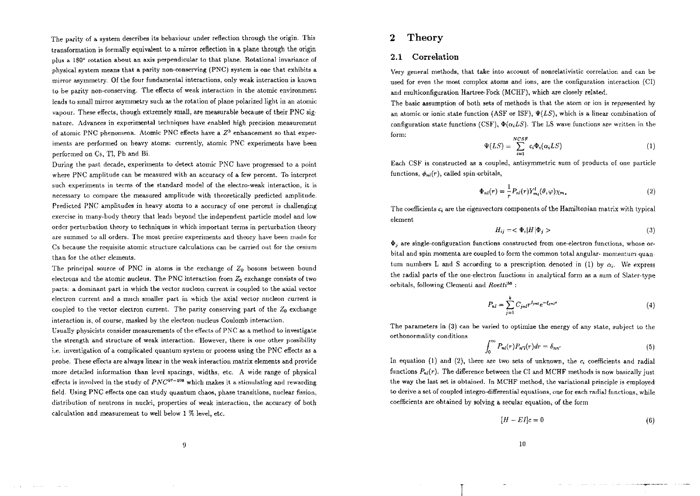The parity of a system describes its behaviour under reflection through the origin. This transformation is formally equivalent to a minor reflection in a plane through the origin plus a 180° rotation about an axis perpendicular to that plane. Rotational invariance of physical system means that a parity non-conserving (PNC) system is one that exhibits a mirror asymmetry. Of the four fundamental interactions, only weak interaction is known to be parity non-conserving. The effects of weak interaction in the atomic environment leads to small mirror asymmetry such as the rotation of plane polarized light in an atomic vapour. These effects, though extremely small, are measurable because of their PNC signature. Advances in experimental techniques have enabled high precision measurement of atomic PNC phenomena. Atomic PNC effects have a *Z<sup>3</sup>* enhancement so that experiments are performed on heavy atoms; currently, atomic PNC experiments have been performed on Cs, Tl, Pb and Bi.

During the past decade, experiments to detect atomic PNC have progressed to a point where PNC amplitude can be measured with an accuracy of a few percent. To interpret such experiments in terms of the standard mode] of the electro-weak interaction, it is necessary to compare the measured amplitude with theoretically predicted amplitude. Predicted PNC amplitudes in heavy atoms to a accuracy of one percent is challenging exercise in many-body theory that leads beyond the independent particle model and low order perturbation theory to techniques in which important terms in perturbation theory are summed to all orders. The most precise experiments and theory have been made for Cs because the requisite atomic structure calculations can be carried out for the cesium than for the other elements.

The principal source of PNC in atoms is the exchange of  $Z_0$  bosons between bound electrons and the atomic nucleus. The PNC interaction from *Zo* exchange consists of two parts: a dominant part in which the vector nucleon current is coupled to the axial vector electron current and a much smaller part in which the axial vector nucleon current is coupled to the vector electron current. The parity conserving part of the *Zo* exchange interaction is, of course, masked by the electron-nucleus Coulomb interaction.

Usually physicists consider measurements of the effects of PNC as a method to investigate the strength and structure of weak interaction. However, there is one other possibility i.e. investigation of a complicated quantum system or process using the PNC effects as a probe. These effects are always linear in the weak interaction matrix elements and provide more detailed information than level spacings, widths, etc. A wide range of physical effects is involved in the study of  $PNC^{97-108}$  which makes it a stimulating and rewarding field. Using PNC effects one can study quantum chaos, phase transitions, nuclear fission, distribution of neutrons in nuclei, properties of weak interaction, the accuracy of both calculation and measurement to well below 1 % level, etc.

# **Theory**

#### 2.1 Correlation

Very generat methods, that take into account of nonrelativistic correlation and can be used for even the most complex atoms and ions, are the configuration interaction (CI) and multiconfiguration Hartree-Fock (MCHF), which are closely related.

The basic assumption of both sets of methods is that the atom or ion is represented by an atomic or ionic state function (ASF or ISF),  $\Psi(LS)$ , which is a linear combination of configuration state functions (CSF),  $\Phi(\alpha_i LS)$ . The LS wave functions are written in the form:

$$
\Psi(LS) = \sum_{i=1}^{NCSF} c_i \Phi_i(\alpha_i LS) \tag{1}
$$

Each CSF is constructed as a coupled, antisymmetric sum of products of one particle functions,  $\phi_{nl}(r)$ , called spin-orbitals,

$$
\Phi_{nl}(r) = \frac{1}{r} P_{nl}(r) Y_{m_l}^l(\theta, \varphi) \chi_{m_s}
$$
\n(2)

The coefficients  $c_i$  are the eigenvectors components of the Hamiltonian matrix with typical element

$$
H_{ij} = \langle \Phi_i | H | \Phi_j \rangle \tag{3}
$$

 $\Phi_i$  are single-configuration functions constructed from one-electron functions, whose orbital and spin momenta are coupled to form the common total angular- momentum quantum numbers L and S according to a prescription denoted in (1) by  $\alpha_i$ . We express the radial parts of the one-electron functions in analytical form as a sum of Slater-type orbitals, following Clementi and  $Roetti^{56}$ :

$$
P_{nl} = \sum_{j=1}^{k} C_{jnl} r^{I_{jnl}} e^{-\xi_{jnl}r}
$$
\n(4)

The parameters in (3) can be varied to optimize the energy of any state, subject to the orthonormality conditions

$$
\int_0^\infty P_{ni}(r) P_{n'l}(r) dr = \delta_{nn'} \tag{5}
$$

In equation (1) and (2), there are two sets of unknown, the  $c_i$  coefficients and radial functions  $P_{nl}(r)$ . The difference between the CI and MCHF methods is now basically just the way the last set is obtained. In MCHF method, the variational principle is employed the way the last set is obtained. In MCHF method, the variationat principle is employed to derive a set of coupled integro-differential equations, one for each radial functions, while coefficients are obtained by solving a secular equation, of the form

$$
[H - EI]c = 0 \tag{6}
$$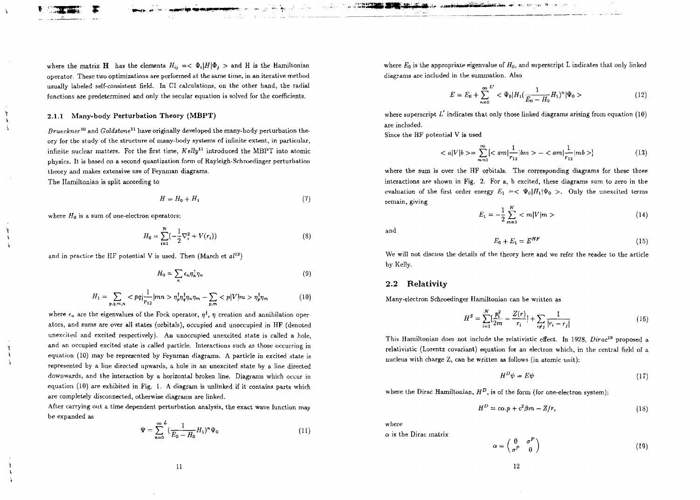where the matrix **H** has the elements  $H_{ij} = \langle \Phi_i | H | \Phi_j \rangle$  and H is the Hamiltonian operator. These two optimizations are performed at the same time, in an iterative method usually labeled self-consistent field. In CI calculations, on the other hand, the radial functions are predetermined and only the secular equation is solved for the coefficients.

#### 2.1.1 Many-body **Perturbation Theory (MBPT)**

*Brueckner<sup>10</sup>* and *Goldsttme<sup>11</sup>* have originally developed the many-body perturbation theory for the study of the structure of many-body systems of infinite extent, in particular, infinite nuclear matters. For the first time, *Kelly<sup>11</sup>* introduced the MBPT into atomic physics. It is based on a second quantization form of Rayleigh-Schroedinger perturbation theory and makes extensive use of Feynman diagrams.

The Hamiltonian is split according to

$$
H = H_0 + H_1 \tag{7}
$$

where  $H_0$  is a sum of one-electron operators:

$$
H_0 = \sum_{i=1}^{N} \left(-\frac{1}{2}\nabla_i^2 + V(r_i)\right)
$$
 (8)

and in practice the HF potential V is used. Then (March et *al<sup>13</sup>)*

$$
H_0 = \sum_{n=1}^{\infty} \epsilon_n \eta_n^{\dagger} \eta_n \tag{9}
$$

$$
H_1 = \sum_{p,q,m,n} \langle pq \vert \frac{1}{r_{12}} \vert mn > \eta_p^{\dagger} \eta_q^{\dagger} \eta_m \eta_m - \sum_{p,m} \langle p \vert V \vert m > \eta_p^{\dagger} \eta_m \tag{10}
$$

where  $\epsilon_n$  are the eigenvalues of the Fock operator,  $\eta^{\dagger}$ ,  $\eta$  creation and annihilation operators, and sums are over all states (orbitals), occupied and unoccupied in HF (denoted unexcited and excited respectively). An unoccupied unexcited state is called a hole, and an occupied excited state is called particle. Interactions such as those occurring in equation (10) may be represented by Feynman diagrams. A particle in excited state is represented by a line directed upwards, a hole in an unexcited state by a line directed downwards, and the interaction by a horizontal broken line. Diagrams which occur in equation (10) are exhibited in Fig. 1. A diagram is unlinked if it contains parts which are completely disconnected, otherwise diagrams are linked.

After carrying out a time dependent perturbation analysis, the exact wave function may be expanded as

$$
\Psi = \sum_{n=0}^{\infty} \left( \frac{1}{E_0 - H_0} H_1 \right)^n \Psi_0 \tag{11}
$$

where  $E_0$  is the appropriate eigenvalue of  $H_0$ , and superscript L indicates that only linked diagrams are included in the summation. Also

$$
E = E_0 + \sum_{n=0}^{\infty} \frac{L}{2} < \Psi_0 | H_1(\frac{1}{E_0 - H_0} H_1)^n | \Psi_0 >
$$
 (12)

where superscript *L'* indicates that only those linked diagrams arising from equation (10) are included.

Since the HF potential V is used

$$
\langle a|V|b\rangle = \sum_{m=1}^{\infty} \left[ \langle am| \frac{1}{r_{12}} |bm\rangle - \langle am| \frac{1}{r_{12}} |mb\rangle \right] \tag{13}
$$

where the sum is over the HF orbitals. The corresponding diagrams for these three interactions are shown in Fig. 2. For a, b excited, these diagrams sum to zero in the evaluation of the first order energy  $E_1 = \langle \Psi_0 | H_1 | \Psi_0 \rangle$ . Only the unexcited terms remain, giving

$$
E_1 = -\frac{1}{2} \sum_{m=1}^{N} < m|V|m > \tag{14}
$$

and

$$
E_0 + E_1 = E^{HF} \tag{15}
$$

We will not discuss the details of the theory here and we refer the reader to the article by Kelly.

#### 2.2 Relativity

Many-electron Schroedinger Hamiltonian can be written as

$$
H^{S} = \sum_{i=1}^{N} \left[ \frac{p_i^2}{2m} - \frac{Z(r)}{r_i} \right] + \sum_{i \neq j} \frac{1}{|r_i - r_j|}
$$
(16)

This Hamiltonian does not include the relativistic effect. In 1928, *Dirac<sup>19</sup>* proposed a relativistic (Lorentz covariant) equation for an electron which, in the central field of a nucleus with charge Z, can be written as follows (in atomic unit):

$$
H^D \psi = E \psi \tag{17}
$$

where the Dirac Hamiltonian,  $H^D$ , is of the form (for one-electron system);

$$
H^D = c\alpha.p + c^2\beta m - Z/r,
$$
\n(18)

where

 $\alpha$  is the Dirac matrix

$$
\alpha = \begin{pmatrix} 0 & \sigma^P \\ \sigma^P & 0 \end{pmatrix} \tag{19}
$$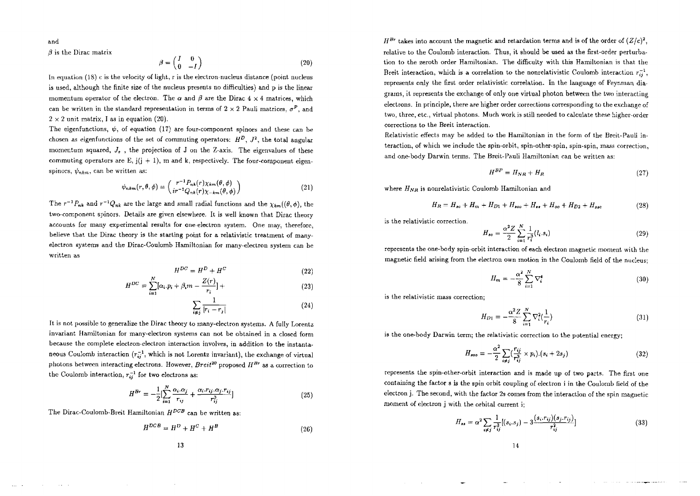and

**Contractor** 

 $\beta$  is the Dirac matrix

$$
\beta = \begin{pmatrix} I & 0 \\ 0 & -I \end{pmatrix} \tag{20}
$$

In equation (18) c is the velocity of light, r is the electron-nucleus distance (point nucleus is used, although the finite size of the nucleus presents no difficulties) and p is the linear momentum operator of the electron. The  $\alpha$  and  $\beta$  are the Dirac  $4 \times 4$  matrices, which can be written in the standard representation in terms of  $2 \times 2$  Pauli matrices,  $\sigma^P$ , and  $2 \times 2$  unit matrix. I as in equation (20).

The eigenfunctions,  $\psi$ , of equation (17) are four-component spinors and these can be chosen as eigenfunctions of the set of commuting operators:  $H^D$ ,  $J^2$ , the total angular momentum squared, *J<sup>z</sup>* , the projection of J on the Z-axis. The eigenvalues of these commuting operators are E,  $j(j + 1)$ , m and k, respectively. The four-component eigenspinors,  $\psi_{nkm},$  can be written as:

$$
\psi_{nkm}(r,\theta,\phi) = \begin{pmatrix} r^{-1}P_{nk}(r)\chi_{km}(\theta,\phi) \\ ir^{-1}Q_{nk}(r)\chi_{-km}(\theta,\phi) \end{pmatrix}
$$
 (21)

The  $r^{-1}P_{nk}$  and  $r^{-1}Q_{nk}$  are the large and small radial functions and the  $\chi_{km}((\theta,\phi))$ , the two-component spinors. Details are given elsewhere. It is well known that Dirac theory accounts for many experimental results for one-electron system. One may, therefore, believe that the Dirac theory is the starting point for a relativistic treatment of manyelectron systems and the Dirac-Coulomb Hamiltonian for many-electron system can be written as

$$
H^{DC} = H^D + H^C \tag{22}
$$

$$
H^{DC} = \sum_{i=1}^{N} [\alpha_i \cdot p_i + \beta_i m - \frac{Z(r)}{r_i}] +
$$
 (23)

$$
\sum_{i \neq j} \frac{1}{|r_i - r_j|} \tag{24}
$$

It is not possible to generalize the Dirac theory to many-electron systems. A fully Lorenta invariant Hamiltonian for many-electron systems can not be obtained in a closed form because the complete electron-electron interaction involves, in addition to the instantaneous Coulomb interaction  $(r_{ii}^{-1}$ , which is not Lorentz invariant), the exchange of virtual photons between interacting electrons. However, *Breit<sup>10</sup>* proposed *HBr* as a correction to the Coulomb interaction,  $r_{ii}^{-1}$  for two electrons as:

$$
H^{Br} = -\frac{1}{2} \left[ \sum_{i=1}^{N} \frac{\alpha_i \cdot \alpha_j}{r_{ij}} + \frac{\alpha_i r_{ij} \cdot \alpha_j r_{ij}}{r_{ij}^3} \right]
$$
(25)

The Dirac-Coulomb-Breit Hamiltonian *HDCB* can be written as:

$$
H^{DCB} = H^D + H^C + H^B \tag{26}
$$

$$
^{-13}
$$

 $H^{Br}$  takes into account the magnetic and retardation terms and is of the order of  $(Z/c)^2$ , relative to the Coulomb interaction. Thus, it should be used as the first-order perturbation to the zeroth order Hamiltonian. The difficulty with this Hamiltonian is that the Breit interaction, which is a correlation to the nonrelativistic Coulomb interaction  $r_{ii}^{-1}$ , represents only the first order relativistic correlation. In the language of Feynman diagrams, it represents the exchange of only one virtual photon between the two interacting electrons. In principle, there are higher order corrections corresponding to the exchange of two, three, etc., virtual photons. Much work is still needed to calculate these higher-order corrections to the Breit interaction.

Relativistic effects may be added to the Hamiltonian in the form of the Breit-Pauli interaction, of which we include the spin-orbit, spin-other-spin, spin-spin, mass correction, and one-body Darwin terms. The Breit-Pauli Hamiltonian can be written as:

$$
H^{BP} = H_{NR} + H_R \tag{27}
$$

where  $H_{NR}$  is nonrelativistic Coulomb Hamiltonian and

$$
H_R = H_{so} + H_m + H_{D1} + H_{soo} + H_{ss} + H_{oo} + H_{D2} + H_{ssc}
$$
 (28)

is the relativistic correction.

$$
H_{so} = \frac{\alpha^2 Z}{2} \sum_{i=1}^N \frac{1}{r_i^3} (l_i.s_i)
$$
 (29)

represents the one-body spin-orbit interaction of each electron magnetic moment with the magnetic field arising from the electron own motion in the Coulomb field of the nucleus;

 $\sim$ 

$$
H_m = -\frac{\alpha^2}{8} \sum_{i=1}^N \nabla_i^4 \tag{30}
$$

is the relativistic mass correction;

$$
H_{D1} = -\frac{\alpha^2 Z}{8} \sum_{i=1}^{N} \nabla_i^2(\frac{1}{r_i})
$$
\n(31)

is the one-body Darwin term; the relativistic correction to the potential energy;

$$
H_{soo} = -\frac{\alpha^2}{2} \sum_{i \neq j} \left( \frac{r_{ij}}{r_{ij}^3} \times p_i \right) . (s_i + 2s_j)
$$
 (32)

represents the spin-other-orbit interaction and is made up of two parts. The first one containing the factor s is the spin orbit coupling of electron i in the Coulomb field of the electron j. The second, with the factor 2s comes from the interaction of the spin magnetic moment of electron j with the orbital current i;

$$
H_{ss} = \alpha^2 \sum_{i \neq j} \frac{1}{r_{ij}^3} [(s_i.s_j) - 3 \frac{(s_i.r_{ij})(s_j.r_{ij})}{r_{ij}^2}]
$$
\n(33)

.<br>The contract of the contract of the contract of the position of the contract of the contract of the contract of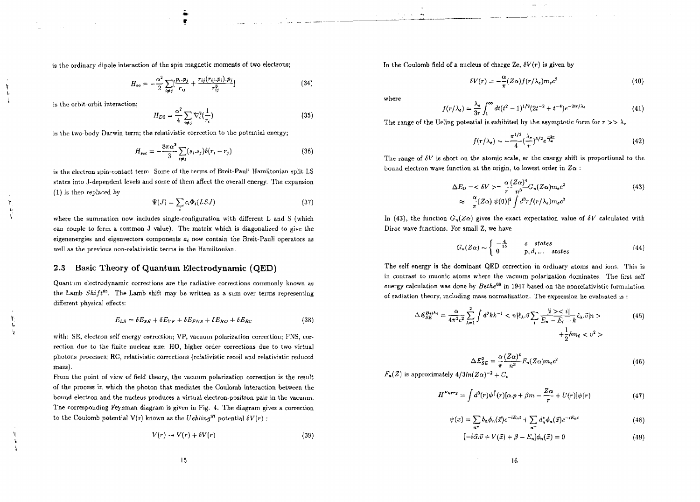$\blacksquare$ 

is the ordinary dipole interaction of the spin magnetic moments of two electrons;

$$
H_{oo} = -\frac{\alpha^2}{2} \sum_{i \neq j} \left[ \frac{p_i \cdot p_j}{r_{ij}} + \frac{r_{ij}(r_{ij} \cdot p_i) \cdot p_j}{r_{ij}^3} \right]
$$
(34)

is the orbit-orbit interaction;

A.

k

$$
H_{D2} = \frac{\alpha^2}{4} \sum_{i \neq j} \nabla_i^2(\frac{1}{r_i})
$$
\n(35)

is the two-body Darwin term; the relativistic correction to the potential energy;

$$
H_{\text{osc}} = -\frac{8\pi\alpha^2}{3} \sum_{i \neq j} (s_i, s_j) \delta(r_i - r_j) \tag{36}
$$

is the electron spin-contact term. Some of the terms of Breit-Pauli Hamiltonian split LS states into J-dependent levels and some of them affect the overall energy. The expansion (1) is then replaced by

$$
\Psi(J) = \sum_{i} c_i \Phi_i(LSJ) \tag{37}
$$

where the summation now includes single-configuration with different L and S (which can couple to form a common J value). The matrix which is diagonalized to give the eigenenergies and eigenvectors components  $a_i$  now contain the Breit-Pauli operators as well as the previous non-relativistic terms in the Hamiltonian.

#### 2.3 Basic Theory of Quantum Electrodynamic (QED)

Quantum etectrodynamic corrections are the radiative corrections commonly known as the Lamb *Shift<sup>85</sup> .* The Lamb shift may be written as a sum over terms representing different physical effects:

$$
E_{LS} = \delta E_{SE} + \delta E_{VP} + \delta E_{FNS} + \delta E_{HO} + \delta E_{RC}
$$
\n(38)

with: SE, electron self energy correction; VP, vacuum polarization correction; FNS, correction due to the finite nuclear size; HO, higher order corrections due to two virtual photons processes; RC, relativistic corrections (refativistic recoil and relativistic reduced mass).

From the point of view of field theory, the vacuum polarization correction is the result of the process in which the photon that mediates the Coulomb interaction between the bound electron and the nucleus produces a virtual electron-positron pair in the vacuum. The corresponding Feynman diagram is given in Fig. 4. The diagram gives a correction to the Coulomb potential  $V(r)$  known as the *Uehling*<sup>67</sup> potential  $\delta V(r)$ :

$$
V(r) \to V(r) + \delta V(r) \tag{39}
$$

In the Coulomb field of a nucleus of charge Ze,  $\delta V(r)$  is given by

$$
\delta V(r) = -\frac{\alpha}{\pi} (Z\alpha) f(r/\lambda_e) m_e c^2 \tag{40}
$$

where

يفقد أأنبت البرادة

$$
f(r/\lambda_e) = \frac{\lambda_e}{3r} \int_1^{\infty} dt (t^2 - 1)^{1/2} (2t^{-2} + t^{-4}) e^{-2i\tau/\lambda_e}
$$
 (41)

The range of the Ueling potential is exhibited by the asymptotic form for  $r >> \lambda_c$ 

$$
f(r/\lambda_e) \sim -\frac{\pi^{1/2}}{4} \left(\frac{\lambda_e}{r}\right)^{5/2} e^{\frac{-2r}{\lambda_e}}
$$
 (42)

The range of  $\delta V$  is short on the atomic scale, so the energy shift is proportional to the bound electron wave function at the origin, to lowest order in *Za :*

$$
\Delta E_U = \langle \delta V \rangle = \frac{\alpha}{\pi} \frac{(Z\alpha)^4}{n^3} G_n(Z\alpha) m_e c^2
$$
  

$$
\approx -\frac{\alpha}{\pi} (Z\alpha) |\psi(0)|^2 \int d^3r f(r/\lambda_e) m_e c^2
$$
 (43)

In (43), the function  $G_n(Z\alpha)$  gives the exact expectation value of  $\delta V$  calculated with Dirac wave functions. For small Z, we have

$$
G_n(Z\alpha) \sim \begin{cases} -\frac{4}{15} & s \text{ states} \\ 0 & p, d, \dots \text{ states} \end{cases}
$$
 (44)

The self energy is the dominant QED correction in ordinary atoms and ions. This is in contrast to muonic atoms where the vacuum polarization dominates. The first self energy calculation was done by *Bethe<sup>88</sup>* in 1947 based on the nonrelativistic formulation of radiation theory, including mass normalization. The expression he evaluated is :

$$
\Delta E_{SE}^{Bethe} = \frac{\alpha}{4\pi^2 c^2} \sum_{\lambda=1}^2 \int d^3k k^{-1} < n|\hat{\epsilon}_{\lambda} \cdot \vec{v} \sum_i \frac{|i\rangle < i|}{E_n - E_i - k} \hat{\epsilon}_{\lambda} \cdot \vec{v}|n > \\
\quad + \frac{1}{2} \delta m_0 < v^2 > \n\end{aligned} \tag{45}
$$

$$
\Delta E_{SE}^2 = \frac{\alpha}{\pi} \frac{(Z\alpha)^4}{n^3} F_n(Z\alpha) m_e c^2
$$
 (46)

 $F_n(Z)$  is approximately  $4/3ln(Z\alpha)^{-2} + C_n$ 

$$
H^{Furr} = \int d^3(r)\psi^{\dagger}(r)[\alpha.p + \beta m - \frac{Z\alpha}{r} + U(r)]\psi(r)
$$
 (47)

$$
\psi(x) = \sum_{n^{+}} b_{n} \phi_{n}(\vec{x}) e^{-iE_{n}t} + \sum_{n^{-}} d_{n}^{*} \phi_{n}(\vec{x}) e^{-iE_{n}t}
$$
\n(48)

$$
[-i\vec{\alpha}.\vec{v} + V(\vec{x}) + \beta - E_n]\phi_n(\vec{x}) = 0
$$
\n(49)

15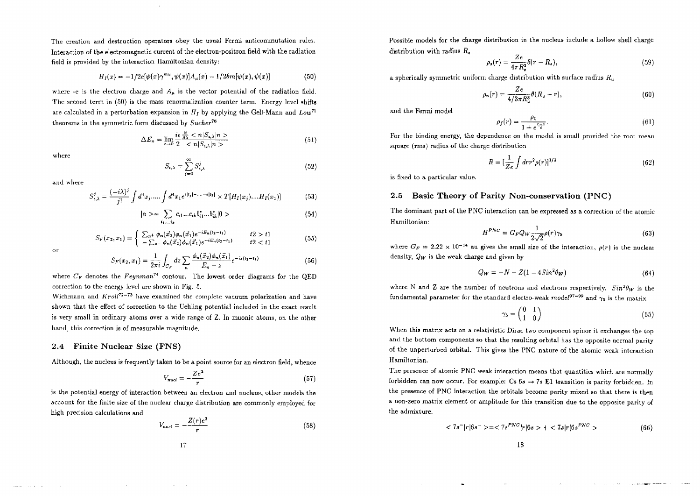The creation and destruction operators obey the usual Fermi anticommutation rules. Interaction of the electromagnetic current of the electron-positron field with the radiation field is provided by the interaction Hamiltonian density:

$$
H_I(x) = -1/2e[\psi(x)\gamma^{m_u}, \psi(x)]A_\mu(x) - 1/2\delta m[\psi(x), \psi(x)] \tag{50}
$$

where -e is the electron charge and  $A_\mu$  is the vector potential of the radiation field. The second term in (50) is the mass renormalization counter terra. Energy level shifts are calculated in a perturbation expansion in  $H_I$  by applying the Gell-Mann and  $Low^{T1}$ theorems in the symmetric form discussed by *Sucher<sup>76</sup>*

$$
\Delta E_n = \lim_{\epsilon \to 0} \frac{i\epsilon}{2} \frac{\frac{\partial}{\partial \lambda} < n |S_{\epsilon,\lambda}| n \rangle}{\langle n |S_{\epsilon,\lambda}| n \rangle} \tag{51}
$$

where

$$
S_{\epsilon,\lambda} = \sum_{j=0}^{\infty} S_{\epsilon,\lambda}^j
$$
 (52)

and where

$$
S_{\epsilon,\lambda}^{j} = \frac{(-i\lambda)^{j}}{j!} \int d^{4}x_{j} \dots \int d^{4}x_{1} e^{\epsilon|t_{j}| - \dots - \epsilon|t_{1}|} \times T[H_{I}(x_{j}) \dots H_{I}(x_{1})]
$$
(53)

$$
|n\rangle = \sum_{i_1,\dots,i_k} c_{i_1}...c_{ik}b_{i_1}^*,\dots b_{ik}^*|0\rangle \tag{54}
$$

$$
S_F(x_2, x_1) = \begin{cases} \sum_{n+} \phi_n(\vec{x}_2) \phi_n(\vec{x}_1) e^{-iE_n(t_2 - t_1)} & t2 > t1 \\ -\sum_{n-} \phi_n(\vec{x}_2) \phi_n(\vec{x}_1) e^{-iE_n(t_2 - t_1)} & t2 < t1 \end{cases}
$$
(55)

 $\overline{or}$ 

$$
S_F(x_2, x_1) = \frac{1}{2\pi i} \int_{C_F} dz \sum_n \frac{\phi_n(\vec{x}_2)\phi_n(\vec{x}_1)}{E_n - z} e^{-ix(t_2 - t_1)}
$$
(56)

where  $C_F$  denotes the  $Feynman^{74}$  contour. The lowest order diagrams for the OED correction to the energy level are shown in Fig. 5.

Wichmann and *KrolI<sup>72</sup> ~ <sup>73</sup>* have examined the complete vacuum polarization and have shown that the effect of correction to the Uehling potential included in the exact result is very small in ordinary atoms over a wide range of Z. In muonic atoms, on the other hand, this correction is of measurable magnitude.

#### 2.4 Finite Nuclear Size (FNS)

Although, the nucleus is frequently taken to be a point source for an electron field, whence

$$
V_{nucl} = -\frac{Ze^2}{r} \tag{57}
$$

is the potential energy of interaction between an electron and nucleus, other models the account for the finite size of the nuciear charge distribution are commonly employed for high precision calculations and

$$
V_{nucl} = -\frac{Z(r)e^2}{r} \tag{58}
$$

$$
17\,
$$

Possible models for the charge distribution in the nucleus include a hollow shell charge distribution with radius *R,*

$$
\rho_s(r) = \frac{Ze}{4\pi R_s^2} \delta(r - R_s),\tag{59}
$$

a spherically symmetric uniform charge distribution with surface radius *R<sup>u</sup>*

$$
\rho_u(r) = \frac{Ze}{4/3\pi R_u^3} \theta(R_u - r), \tag{60}
$$

and the Fermi model

$$
\rho_f(r) = \frac{\rho_0}{1 + e^{\frac{r - c}{\tilde{a}}}}.\tag{61}
$$

For the binding energy, the dependence on the model is small provided the root mean square (rms) radius of the charge distribution

$$
R = \left[\frac{1}{Ze} \int dr r^2 \rho(r)\right]^{1/2} \tag{62}
$$

is fixed to a particular value.

#### **2.5 Basic Theory of Parity Non-conservation (PNC)**

The dominant part of the PNC interaction can be expressed as a correction of the atomic Hamiltonian:

$$
H^{PNC} = G_F Q_W \frac{1}{2\sqrt{2}} \rho(r) \gamma_5 \tag{63}
$$

where  $G_F = 2.22 \times 10^{-14}$  au gives the small size of the interaction,  $\rho(r)$  is the nuclear density, *Qw* is the weak charge and given by

$$
Q_W = -N + Z(1 - 4\sin^2\theta_W) \tag{64}
$$

where N and Z are the number of neutrons and electrons respectively.  $Sin^{2}\theta_{W}$  is the fundamental parameter for the standard electro-weak  $model^{97-99}$  and  $\gamma_5$  is the matrix

$$
\gamma_5 = \begin{pmatrix} 0 & 1 \\ 1 & 0 \end{pmatrix} \tag{65}
$$

When this matrix acts on a relativistic Dirac two component spinor it exchanges the top and the bottom components so that the resulting orbital has the opposite normal parity of the unperturbed orbital. This gives the PNC nature of the atomic weak interaction Hamiltonian.

The presence of atomic PNC weak interaction means that quantities which are normally forbidden can now occur. For example: Cs  $6s \rightarrow 7s$  El transition is parity forbidden. In the presence of PNC interaction the orbitals become parity mixed so that there is then a non-zero matrix element or amplitude for this transition due to the opposite parity of the admixture.

$$
\langle 7s^{-}|r|6s^{-}\rangle = \langle 7s^{PNC}|r|6s\rangle + \langle 7s|r|6s^{PNC}\rangle \tag{66}
$$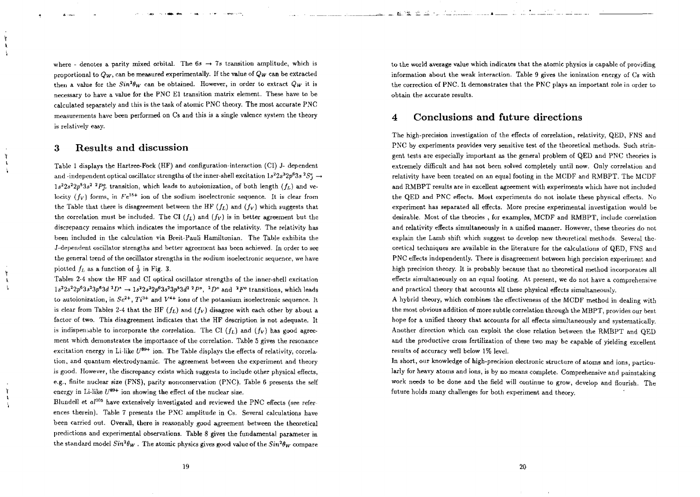where - denotes a parity mixed orbital. The  $6s \rightarrow 7s$  transition amplitude, which is proportional to  $Q_W,$  can be measured experimentally. If the value of  $Q_W$  can be extracted then a value for the  $Sin^2\theta_W$  can be obtained. However, in order to extract  $Q_W$  it is necessary to have a value for the PNC El transition matrix element. These have to be calculated separately and this is the task of atomic PNC theory. The most accurate PNC measurements have been performed on Cs and this is a single valence system the theory is relatively easy.

# 3 Results and discussion

 $\mathbf{t}$ 

 $\pmb{\lambda}$ 

Table 1 displays the Hartree-Fock  $(HF)$  and configuration-interaction  $(CI)$  J- dependent and -independent optical oscillator strengths of the inner-shell excitation  $1s^22s^22p^63s^2S^c_J \rightarrow$  $1s^22s^22p^53s^2$  <sup>2</sup> $P_j$ , transition, which leads to autoionization, of both length  $(f_L)$  and velocity  $(f_V)$  forms, in  $Fe^{15+}$  ion of the sodium isoelectronic sequence. It is clear from the Table that there is disagreement between the HF  $(f_L)$  and  $(f_V)$  which suggests that the correlation must be included. The CI  $(f_L)$  and  $(f_V)$  is in better agreement but the discrepancy remains which indicates the importance of the relativity. The relativity has been included in the calculation via Breit-Pauli Hamiltonian. The Table exhibits the J-dependent oscillator strengths and better agreement has been achieved. In order to see the general trend of the oscillator strengths in the sodium isoelectronic sequence, we have plotted  $f_L$  as a function of  $\frac{1}{7}$  in Fig. 3.

Tables 2-4 show the HF and CI optical oscillator strengths of the inner-shell excitation  $1s^22s^22p^63s^23p^63d^2D^* \rightarrow 1s^22s^22p^63s^23p^53d^22P^{\circ},~^2D^{\circ}$  and  $^2F^{\circ}$  transitions, which lead to autoionization, in *Sc?<sup>+</sup>* , *Ti3+* and *V\*<sup>+</sup>* ions of the potassium isoelectronic sequence. It is clear from Tables 2-4 that the HF  $(f_L)$  and  $(f_V)$  disagree with each other by about a factor of two. This disagreement indicates that the HF description is not adequate. It is indispensable to incorporate the correlation. The CI  $(f_L)$  and  $(f_V)$  has good agreement which demonstrates the importance of the correlation. Table 5 gives the resonance excitation energy in Li-like  $U^{\otimes 9+}$  ion. The Table displays the effects of relativity, correlation, and quantum electrodynamic. The agreement between the experiment and theory is good. However, the discrepancy exists which suggests to include other physical effects, e.g., finite nuclear size (FNS), parity nonconservation (PNC). Table 6 presents the self energy in Li-like  $U^{89+}$  ion showing the effect of the nuclear size.

Blundell et al<sup>105</sup> have extensively investigated and reviewed the PNC effects (see references therein). Table 7 presents the PNC amplitude in Cs. Several calculations have been carried out. Overall, there is reasonably good agreement between the theoretical predictions and experimental observations. Table 8 gives the fundamental parameter in the standard model  $Sin^2\theta_W$ . The atomic physics gives good value of the  $Sin^2\theta_W$  compare to the world average value which indicates that the atomic physics is capable of providing information about the weak interaction. Table 9 gives the ionization energy of  $Cs$  with the correction of PNC. It demonstrates that the PNC plays an important role in order to obtain the accurate results.

# 4 Conclusions and future directions

*ti.,'* **:'£**

The high-precision investigation of the effects of correlation, relativity, QED, FNS and PNC by experiments provides very sensitive test of the theoretical methods. Such stringent tests are especially important as the general problem of QED and PNC theories is extremely difficult and has not been solved completely untii now. Only correlation and relativity have been treated on an equal footing in the MCDF and RMBPT. The MCDF and RMBPT results are in excellent agreement with experiments which have not included the QED and PNC effects. Most experiments do not isolate these physical effects. No experiment has separated all effects. More precise experimental investigation would be desirable. Most of the theories , for examples, MCDF and RMBPT, include correlation and relativity effects simultaneously in a unified manner. However, these theories do not explain the Lamb shift which suggest to develop new theoretical methods. Several theoretical techniques are available in the literature for the calculations of QED, FNS and PNC effects independently. There is disagreement between high precision experiment and high precision theory. It is probably because that no theoretical method incorporates all effects simultaneously on an equal footing. At present, we do not have a comprehensive and practical theory that accounts all these physical effects simultaneously.

A hybrid theory, which combines the effectiveness of the MCDF method in dealing with the most obvious addition of more subtle correlation through the MBPT, provides our best hope for a unified theory that accounts for all effects simultaneously and systematically. Another direction which can exploit the close relation between the RMBPT and QED and the productive cross fertilization of these two may be capable of yielding excellent results of accuracy well below 1% level.

In short, our knowledge of high-precision electronic structure of atoms and ions, particularly for heavy atoms and ions, is by no means complete. Comprehensive and painstaking work needs to be done and the field will continue to grow, develop and flourish. The future holds many challenges for both experiment and theory.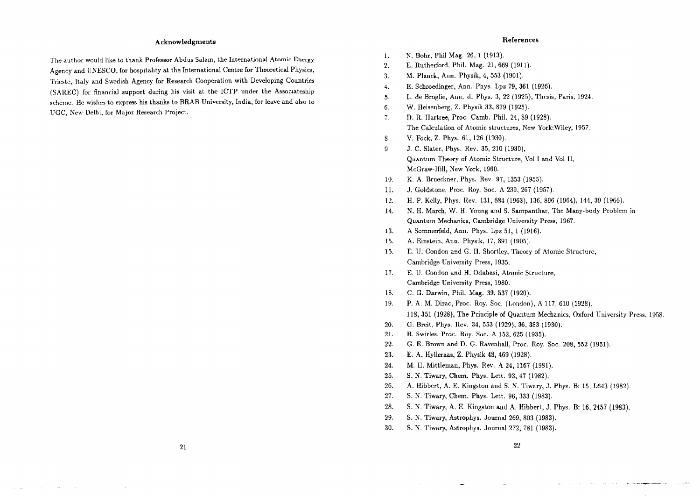#### **Acknowledgments**

The author would like to thank Professor Abdus Salam, the International Atomic Energy Agency and UNESCO, for hospitality at the International Centre for Theoretical Physics, Trieste, Italy and Swedish Agency for Research Cooperation with Developing Countries {SAREC) for financial support during his visit at the ICTP under the Associateship scheme. He wishes to express his thanks to BRAB University, India, for leave and also to UGC, New Delhi, for Major Research Project.

#### **References**

- 1. N. Bohr, Phil Mag. 26, 1 (1913).
- 2. E. Rutherford, Phil. Mag. 21, 669 (1911).
- 3. M. Planck, Ann. Physik, 4, 553 (1901).
- 4. E. Schroedinger, Ann. Phys. Lpz 79, 361 (1926).
- 5. L. de Broglie, Ann. d. Phys. 3, 22 (1925), Thesis, Paris, 1924.
- 6. W. Heisenberg, Z. Physik 33, 879 (1925).
- 7. D. R. Hartree, Proc. Camb. Phil. 24, 89 (1928). The Calculation of Atomic structures, New York:Wiley, 1957.
- 8. V. Fock, Z. Phys. 61, 126 (1930).
- 9. J. C. Slater, Phys. Rev. 35, 210 (1930), Quantum Theory of Atomic Structure, Vol I and Vol II, McGraw-Hill, New York, 1960.
- 10. K. A. Brueckner, Phys. Rev. 97, 1353 (1955).
- 11. J. Goldstone, Proc. Roy. Soc. A 239, 267 (1957).
- 12. H. P. Kelly, Phys. Rev. 131, 684 (1963), 136, 896 (1964), 144, 39 (1966).
- 14. N. H. March, W. H. Young and S. Sampanthar, The Many-body Problem in Quantum Mechanics, Cambridge University Press, 1967.
- 13. A Sommerfeld, Ann. Phys. Lpz 51, 1 (1916).
- 15. A. Einstein, Ann. Physik, 17, 891 (1905).
- 15. E. U. Condon and G. H. Shortley, Theory of Atomic Structure, Cambridge University Press, 1935.
- 17. E. U. Condon and H. Odabasi, Atomic Structure, Cambridge University Press, 1980.
- 18. C. G. Darwin, Phil. Mag. 39, 537 (1920).
- 19. P. A. M. Dirac, Proc. Roy. Soc. (London), A 117, 610 (1928), 118, 351 (1928), The Principle of Quantum Mechanics, Oxford University Press, 1958.
- 20. G. Breit, Phys. Rev. 34, 553 (1929), 36, 383 (1930).
- 21. B. Swirles, Proc. Roy. Soc. A 152, 625 (1935).
- 22. G. E. Brown and D. G. Ravenhall, Proc. Roy. Soc. 208, 552 (1951).
- 23. E. A. Hylleraas, Z. Physik 48, 469 (1928).
- 24. M. H. Mittleman, Phys. Rev. A 24, 1167 (1981).
- 25. S. N. Tiwary, Chem. Phys. Lett. 93, 47 (1982).
- 26. A. Hibbert, A. E. Kingston and S. N. Tiwary, J. Phys. B: 15, L643 (1982).
- 27. S. N. Tiwary, Chem. Phys. Lett. 96, 333 (1983).
- 28. S. N. Tiwary, A. E. Kingston and A. Hibbert, J. Phys. B: 16, 2457 (1983).
- 29. S. N. Tiwary, Astrophys. Journal 269, 803 (1983).
- 30. S. N. Tiwary, Astrophys. Journal 272, 781 (1983).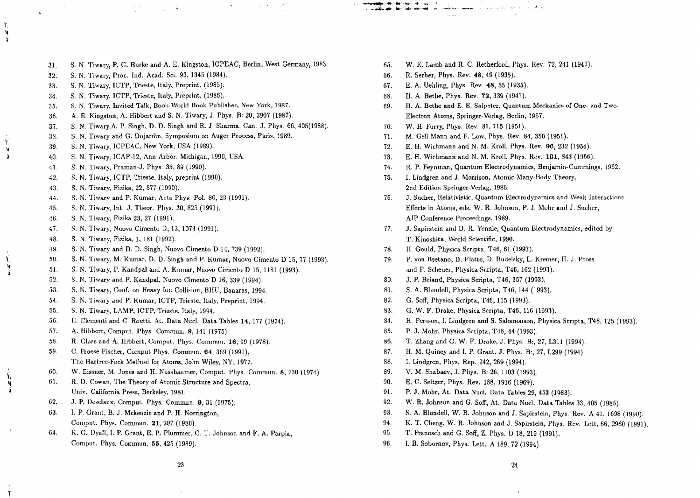31. S. N. Tiwary, P. G. Burke and A. E. Kingston, ICPEAC, Berlin, West Germany, 1983.

**Construction** 

 $\sim 10^{11}$  kg  $^{-1}$ 

- 32. S. N. Tiwary, Proc. Ind. Acad. Sci. 93, 1345 (1984).
- 33. S. N. Tiwary, ICTP, Trieste, Italy, Preprint, (1985).
- 34. S. N. Tiwary, ICTP, Trieste, Italy, Preprint, (1986).
- 35. S. N. Tiwary, Invited Talk, Book-World Book Publisher, New York, 1987.

 $\mathcal{L}^{\text{max}}$ 

- 36. A. E. Kingston, A. Hibbert and S. N. Tiwary, J. Phys. B: 20, 3907 (1987).
- 37. S. N. Tiwary,A. P. Singh, D. D. Singh and R. J. Sharraa, Can. J. Phys. 66, 405(1988).
- 38. S. N. Tiwary and G. Dujardin, Symposium on Auger Process, Paris, 1989.
- 39. S. N. Tiwary, ICPEAC, New York, USA (1989).
- 40. S. N. Tiwary, ICAP-12, Ann Arbor, Michigan, 1990, USA.
- 41. S. N. Tiwary, Praman-J. Phys. 35, 89 (1990).
- 42. S. N. Tiwary, ICTP, Trieste, Italy, preprint (1990).
- 43. S. N. Tiwary, Fizika, 22, 577 (1990).
- 44. S. N. Tiwary and P. Kumar, Acta Phys. Pol. 80, 23 (1991).
- 45. S. N. Tiwary, Int. J. Theor. Phys. 30, 825 (1991).
- 46. S. N. Tiwary, Fizika 23, 27 (1991).
- 47. S. N. Tiwary, Nuovo Cimento D, 13, 1073 (1991).
- 48. S. N. Tiwary, Fizika, 1, 181 (1992).
- 49. S. N. Tiwary and D. D. Singh, Nuovo Cimento D 14, 739 (1992).
- 50. S. N. Tiwary, M. Kumar, D. D. Singh and P. Kumar, Nuovo Cimento D 15, 77 (1993).
- 51. S. N. Tiwary, P. Kandpal and A. Kumar, Nuovo Cimento D 15, 1181 (1993).
- 52. S. N. Tiwary and P. Kandpal, Nuovo Cimento D 16, 339 (1994).
- 53. S. N. Tiwary, Conf. on Heavy Ion Collision, BHU, Banaras, 1994.
- 54. S. N. Tiwary and P. Kumar, ICTP, Trieste, Italy, Preprint, 1994.
- 55. S. N. Tiwary, LAMP, ICTP, Trieste, Italy, 1994.
- 56. E. Clementi and C. Roetti, At. Data Nucl. Data Tables 14, 177 (1974).
- 57. A. Hibbert, Comput. Phys. Commun. *9,* 141 (1975).
- 58. R. Glass and A. Hibbert, Comput. Phys. Commun. 16, 19 (1978).
- 59. C. Froese Fischer, Comput Phys. Commun. 64, 369 (1991), The Hartree-Fock Method for Atoms, John Wiley, NY, 1977.
- 60. W. Eissner, M, Jones and H. Nussbaumer, Comput. Phys. Commun. 8, 230 (1974).
- 61. R. D. Cowan, The Theory of Atomic Structure and Spectra, Univ. California Press, Berkeley, 1981.
- 62. J. P. Desclaux, Comput. Phys. Commun. 9, 31 (1975).
- 63. I. P. Grant, B. J. Mckenzie and P. H. Norrington, Comput. Phys. Commun. 21, 207 (1980).
- 64. K. G. Dyall, I. P. Grant, E. P. Plummer, C. T. Johnson and F. A. Parpia, Comput. Phys. Commun. 55, 425 (1989).
- 65. W. E. Lamb and R. C. Retherford, Phys. Rev. 72, 241 (1947).
- 66. R. Serber, Phys. Rev. 48, 49 (1935).
- 67. E. A. Uehling, Phys. Rev. 48, 55 (1935).
- 68. H. A. Bethe, Phys. Rev. 72, 339 (1947).
- 69. H. A. Bethe and E. E. Salpeter, Quantum Mechanics of One- and Two-Electron Atoms, Springer-Verlag, Berlin, 1957.
- 70. W. H. Furry, Phys. Rev. 81, 115 (1951).
- 71. M. Gell-Mann and F. Low, Phys. Rev. 84, 350 (1951).
- 72. E. H. Wichmann and N. M. Kroll, Phys. Rev. 96, 232 (1954).
- 73. E. H. Wichmann and N. M. Kroll, Phys. Rev. 101, 843 (1956).
- 74. R. P. Feynman, Quantum Electrodynamics, Benjamin-Cummings, 1962.
- 75. I. Lindgren and J. Morrison, Atomic Many-Body Theory, 2nd Edition Springer-Verlag, 1986.
- 76. J. Sucher, Relativistic, Quantum Electrodynamics and Weak Interactions Effects in Atoms, eds. W. R. Johnson, P. J. Mohr and J. Sucher, AIP Conference Proceedings, 1989.
- 77. J. Sapirstein and D. R. Yennie, Quantum Electrodynamics, edited by T. Kinoshita, World Scientific, 1990.
- 78. H. Gould, Physica Scripta, T46, 61 (1993).
- 79. P. von Bretano, D. Platte, D. Budelsky, L. Kremer, H. J. Progs and F. Scheuer, Physica Scripta, T46, 162 (1993).
- 80. J. P. Briand, Physica Scripta, T46, 157 (1993).
- 81. S. A. Blundell, Physica Scripta, T46, 144 (1993).
- 82. G. Soff, Physica Scripta, T46, 115 (1993).
- 83. G. W. F. Drake, Physica Scripta, T46, 116 (1993).
- 84. H. Persson, I. Lindgren and S. Salomonson, Physica Scripta, T46, 125 (1993).
- 85. P. J. Mohr, Physica Scripta, T46, 44 (1993).
- 86. T. Zhang and G. W. F. Drake, J. Phys. B:, 27, L311 (1994).
- 87. H. M. Quiney and I. P. Grant, J. Phys. B:, 27, L299 (1994).
- 88. I. Lindgren, Phys. Rep. 242, 269 (1994).
- 89. V. M. Shabaev, J. Phys. B: 26, 1103 (1993).
- 90. E. C. Seltzer, Phys. Rev. 188, 1916 (1969).
- 91. P. J. Mohr, At. Data Nucl. Data Tables 29, 453 (1983).
- 92. W. R. Johnson and G. Soff, At. Data Nucl. Data Tables 33, 405 (1985).
- 93. S. A. Blundell, W. R. Johnson and J. Sapirstein, Phys. Rev. A 41, 1698 (1990).
- 94. K. T. Cheng, W. R. Johnson and J. Sapirstein, Phys. Rev. Lett, 66, 2960 (1991).
- 95. T. Franosch and G. Soff, Z. Phys. D 18, 219 (1991).
- 96. I. B. Sobornov, Phys. Lett. A 189, 72 (1994).

 $\mathfrak{h}$  $\mathbf{b}$  $\mathbf{y}$ 

٠ï,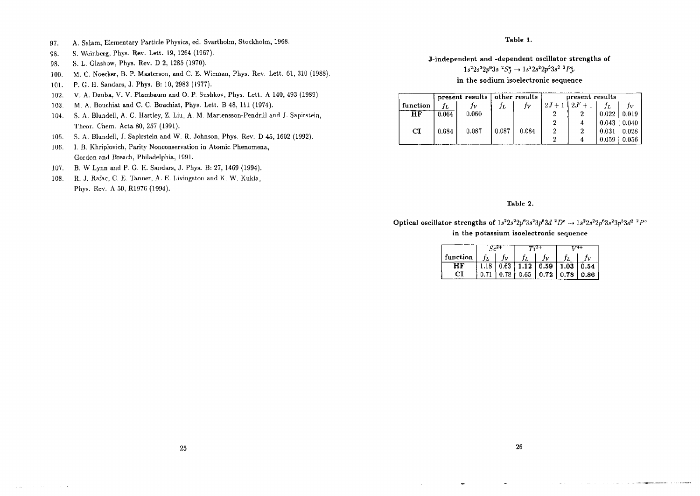- 97. A. Salam, Elementary Particle Physics, ed. Svartholm, Stockholm, 1968.
- 98. S. Weinberg, Phys. Rev. Lett. 19, 1264 (1967).
- 98. S. L. Glashow, Phys. Rev. D 2, 1285 (1970).
- 100. M. C. Noecker, B. P. Masterson, and C. E. Wieman, Phys. Rev. Lett. 61, 310 (1988).
- 101. P. G. H. Sandars, J. Phys. B: 10, 2983 (1977).
- 102. V. A. Dzuba, V. V. Flambaum and O. P. Sushkov, Phys. Lett. A 140, 493 (1989).
- 103. M. A. Bouchiat and C. C. Bouchiai, Phys. Lett. B 48, 111 (1974).
- 104. S. A. Blundell, A. C. Hartley, Z. Liu, A. M. Martensson-Pendrill and J. Sapirstein, Theor. Chem. Acta 80, 257 (1991).
- 105. S. A. Blundell, J. Sapirstein and W. R. Johnson, Phys. Rev. D 45, 1602 (1992).
- 106. I. B. Khriplovich, Parity Nonconservation in Atomic Phenomena, Gordon and Breach, Philadelphia, 1991.
- 107. B. W Lynn and P. G. H. Sandars, J. Phys. B: 27, 1469 (1994).
- 108. R. J. Rafac, C. E. Tanner, A. E. Livingston and K. W. Kukla, Phys. Rev. A 50, R1976 (1994).

#### **Table 1.**

### **J-independent and -dependent oscillator strengths of**  $1s^22s^22p^63s^2S_f^e \rightarrow 1s^22s^22p^53s^2^2P_f^o$

# **in the sodium isoelectronic sequence**

|          |       | present results   other results |       |       |        | present results |       |       |
|----------|-------|---------------------------------|-------|-------|--------|-----------------|-------|-------|
| function |       | Īν                              | JL    | īν    | $2J +$ | $2J'+1$         |       |       |
| HГ       | 0.064 | 0.060                           |       |       |        |                 | 0.022 | 0.019 |
|          |       |                                 |       |       | 2      |                 | 0.043 | 0.040 |
| СI       | 0.084 | 0.087                           | 0.087 | 0.084 | 2      |                 | 0.031 | 0.028 |
|          |       |                                 |       |       | ິ      |                 | 0.059 | 0.056 |

#### **Table 2.**

# $\text{Optical oscillator strengths of } 1s^2 2s^2 2p^6 3s^2 3p^6 3d \text{ } ^2D^e \rightarrow 1s^2 2s^2 2p^6 3s^2 3p^5 3d^2 \text{ } ^2P^e$ **in the potassium isoelectronic sequence**

|          |      | $T - 3 +$ |                                           |                                                                  |
|----------|------|-----------|-------------------------------------------|------------------------------------------------------------------|
| function | - Fv | JL.       | lν                                        |                                                                  |
| HЕ       |      |           |                                           | $1.18 \mid 0.63 \nmid 1.12 \mid 0.59 \mid 1.03 \nmid 0.54 \nmid$ |
| СI       |      |           | $0.71$   0.78   0.65   0.72   0.78   0.86 |                                                                  |

contract of the contract

 $\mathcal{L}^{\text{max}}$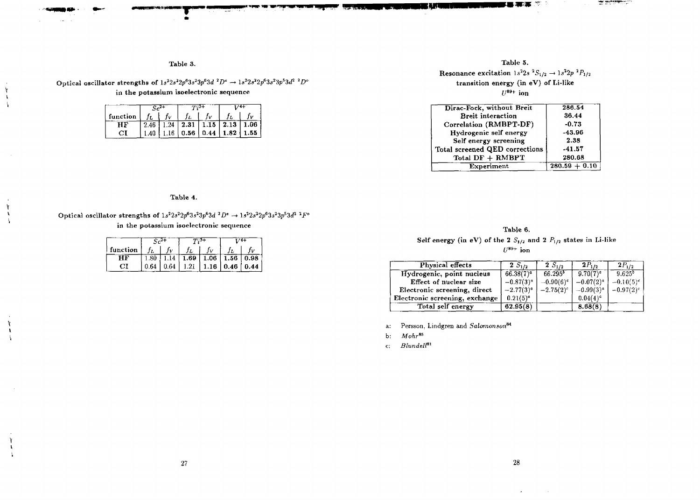#### **Table 3.**

Optical oscillator strengths of  $1s^22s^22p^63s^23p^63d \,\,^2D^e \rightarrow 1s^22s^22p^63s^23p^53d^2$ 

 $\mathbf{t}$ 

ो  $\Lambda$ J.

## **in the potassium isoelectronic sequence**

| function |      |    |                                      |      |
|----------|------|----|--------------------------------------|------|
|          | 2.46 | 24 | $\mid 2.31 \mid 1.15 \mid 2.13 \mid$ | 1.06 |
|          |      |    | 0.56   0.44   1.82   1.55            |      |

# **Table 5. Resonance excitation**  $1s^22s^2S_{1/2} \rightarrow 1s^22p^2P_{1/2}$ **transition energy (in eV) of Li-like [/B9+ ion**

- -

| Dirac-Fock, without Breit      | 286.54          |
|--------------------------------|-----------------|
| <b>Breit interaction</b>       | 36.44           |
| Correlation (RMBPT-DF)         | $-0.73$         |
| Hydrogenic self energy         | $-43.96$        |
| Self energy screening          | 2.38            |
| Total screened QED corrections | $-41.57$        |
| Total DF + RMBPT               | 280.68          |
| Experiment                     | $280.59 + 0.10$ |

#### **Table** *4.*

 $\text{Optical oscillator strengths of } 1s^22s^22p^63s^23p^63d^2D^{\epsilon} \to 1s^22s^22p^63s^23p^53d^2^4P^{\epsilon}$ 

# **in the potassium isoelectronic sequence**

| function |      |     |       |      |      |      |
|----------|------|-----|-------|------|------|------|
|          |      |     | 1.69  | 1.06 | - 56 | 0.98 |
|          | 0.64 | 164 | 1.21. | 1.16 | 0.46 | 0.44 |

# **Table 6. Self energy (in eV)** of the 2  $S_{1/2}$  and 2  $P_{1/2}$  states in Li-like **f/<sup>89</sup>+ ion**

| Physical effects               | $2S_{1/2}$     | $2S_{1/2}$     | $2P_{1/2}$     | $2P_{1/2}$      |
|--------------------------------|----------------|----------------|----------------|-----------------|
| Hydrogenic, point nucleus      | $66.38(7)^{2}$ | $66.295^{b}$   | $9.70(7)^{a}$  | $9.625^{\circ}$ |
| Effect of nuclear size         | $-0.87(3)^{x}$ | $-0.90(6)^c$   | $-0.07(2)^{a}$ | $-0.10(5)^c$    |
| Electronic screening, direct   | $-2.77(3)^{a}$ | $-2.75(2)^{c}$ | $-0.99(3)^{a}$ | $-0.97(2)^{c}$  |
| Electronic screening, exchange | $0.21(5)^{a}$  |                | $0.04(4)^{a}$  |                 |
| Total self energy              | 62.95(8)       |                | 8.68(8)        |                 |

a: Persson, Lindgren and *Salomon son\*\**

b: *Mohr\*<sup>5</sup>*

c; *BlundelP<sup>1</sup>*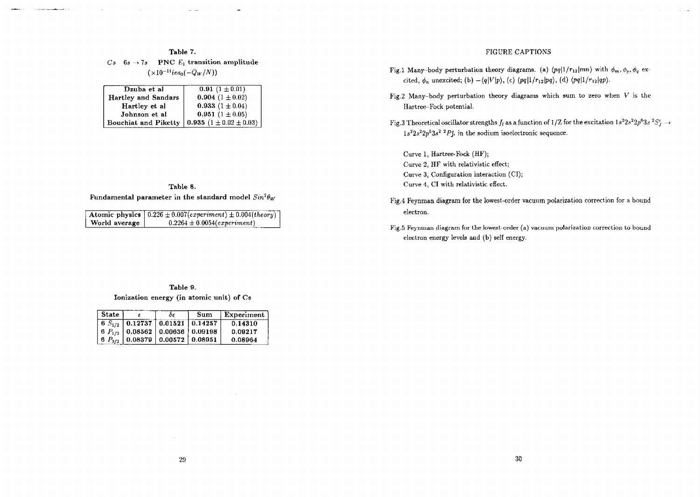# **Table 7.**

 $Cs \rightarrow 7s$  **PNC**  $E_1$  transition amplitude  $(\times 10^{-11} iea_0(-Q_W/N))$ 

| Dzuba et al          | $0.91(1 \pm 0.01)$            |
|----------------------|-------------------------------|
| Hartley and Sandars  | 0.904 $(1 \pm 0.02)$          |
| Hartley et al        | 0.933 $(1 \pm 0.04)$          |
| Johnson et al        | 0.951 $(1 \pm 0.05)$          |
| Bouchiat and Piketty | 0.935 $(1 \pm 0.02 \pm 0.03)$ |

**Table 8.**

**Fundamental parameter in the standard model**  $Sin^2\theta_W$ 

|               | Atomic physics $(0.226 \pm 0.007$ (experiment) $\pm 0.004$ (theory) |
|---------------|---------------------------------------------------------------------|
| World average | $0.2264 \pm 0.0054$ (experiment)                                    |

FIGURE CAPTIONS

- Fig.1 Many-body perturbation theory diagrams. (a)  $\langle pq|1/r_{12}|mn\rangle$  with  $\phi_m, \phi_p, \phi_q$  excited,  $\phi_n$  unexcited; (b)  $-\langle q|V|p\rangle$ , (c)  $\langle pq|1/r_{12}|pq\rangle$ , (d)  $\langle pq|1/r_{12}|qp\rangle$ .
- Fig,2 Many-body perturbation theory diagrams which sum to zero when *V* is the Hartree-Fock potential.
- Fig.3 Theoretical oscillator strengths  $f_l$  as a function of 1/Z for the excitation 1 $s^2 2s^2 2p^6 3s^2 S^e_J$  $1s^22s^22p^53s^2$  <sup>2</sup> $P_j^2$ , in the sodium isoelectronic sequence.

Curve 1, Hartree-Fock (HF); Curve 2, HF with relativistic effect; Curve 3, Configuration interaction (CI); Curve 4, CI with relativistic effect.

- Fig.4 Feynman diagram for the lowest-order vacuum polarization correction for a bound electron.
- Fig.5 Feynman diagram for the lowest-order (a) vacuum polarization correction to bound electron energy levels and (b) self energy.

**Table 9. lonization energy (in atomic unit) of Cs**

| State      |                                                                 | Sum | Experiment |
|------------|-----------------------------------------------------------------|-----|------------|
|            |                                                                 |     | 0.14310    |
|            | $\mid$ 6 $P_{1/2}$ $\mid$ 0.08562 $\mid$ 0.00636 $\mid$ 0.09198 |     | 0.09217    |
| $6P_{3/2}$ | 0.08379 0.00572 0.08951                                         |     | 0.08964    |